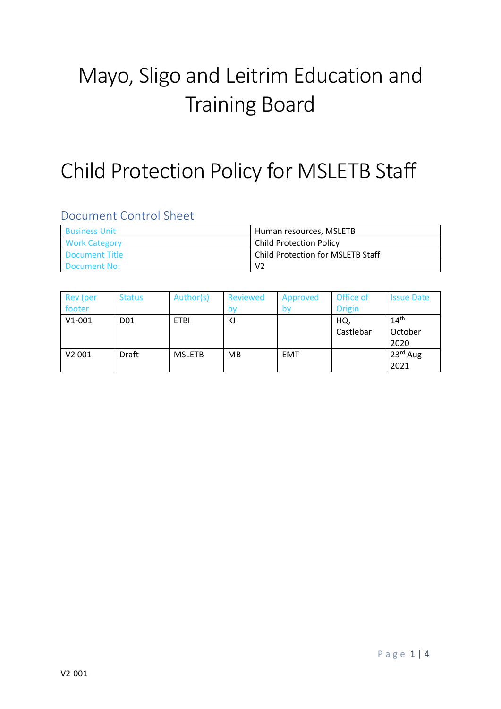# Mayo, Sligo and Leitrim Education and Training Board

## Child Protection Policy for MSLETB Staff

## Document Control Sheet

| <b>Business Unit</b>  | Human resources, MSLETB           |  |  |
|-----------------------|-----------------------------------|--|--|
| <b>Work Category</b>  | <b>Child Protection Policy</b>    |  |  |
| <b>Document Title</b> | Child Protection for MSLETB Staff |  |  |
| Document No:          | V <sub>2</sub>                    |  |  |

| Rev (per           | <b>Status</b>   | Author(s)     | Reviewed | Approved   | Office of | <b>Issue Date</b> |
|--------------------|-----------------|---------------|----------|------------|-----------|-------------------|
| footer             |                 |               |          | by         | Origin    |                   |
| $V1 - 001$         | D <sub>01</sub> | <b>ETBI</b>   | KJ       |            | HQ,       | 14 <sup>th</sup>  |
|                    |                 |               |          |            | Castlebar | October           |
|                    |                 |               |          |            |           | 2020              |
| V <sub>2</sub> 001 | <b>Draft</b>    | <b>MSLETB</b> | MB       | <b>EMT</b> |           | 23rd Aug          |
|                    |                 |               |          |            |           | 2021              |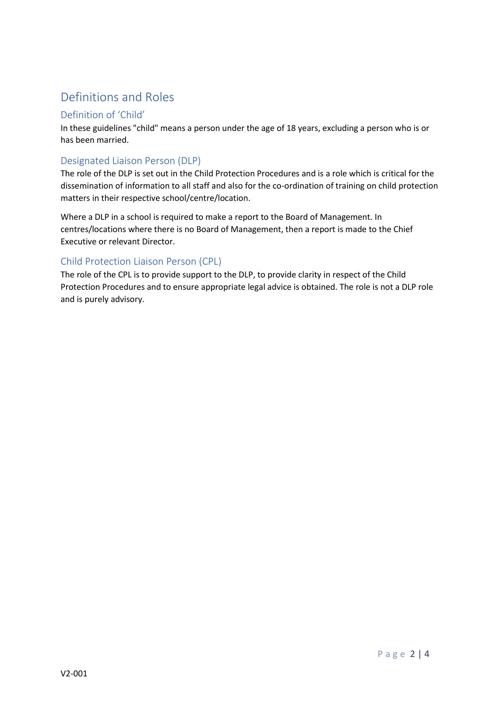## Definitions and Roles

#### Definition of 'Child'

In these guidelines "child" means a person under the age of 18 years, excluding a person who is or has been married.

#### Designated Liaison Person (DLP)

The role of the DLP is set out in the Child Protection Procedures and is a role which is critical for the dissemination of information to all staff and also for the co-ordination of training on child protection matters in their respective school/centre/location.

Where a DLP in a school is required to make a report to the Board of Management. In centres/locations where there is no Board of Management, then a report is made to the Chief Executive or relevant Director.

#### Child Protection Liaison Person (CPL)

The role of the CPL is to provide support to the DLP, to provide clarity in respect of the Child Protection Procedures and to ensure appropriate legal advice is obtained. The role is not a DLP role and is purely advisory.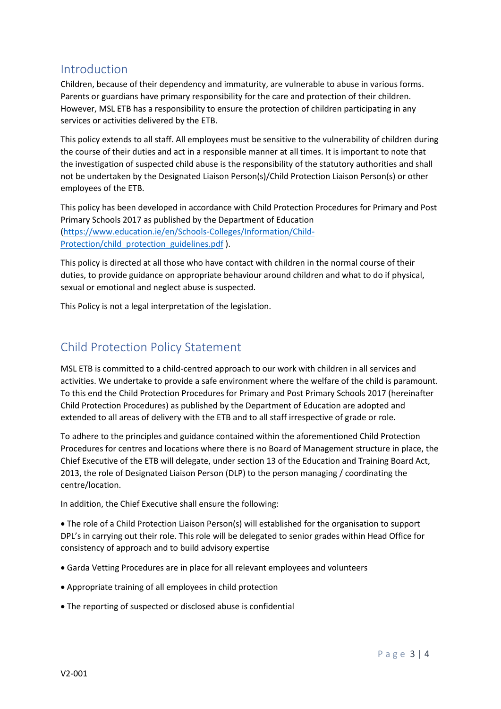#### Introduction

Children, because of their dependency and immaturity, are vulnerable to abuse in various forms. Parents or guardians have primary responsibility for the care and protection of their children. However, MSL ETB has a responsibility to ensure the protection of children participating in any services or activities delivered by the ETB.

This policy extends to all staff. All employees must be sensitive to the vulnerability of children during the course of their duties and act in a responsible manner at all times. It is important to note that the investigation of suspected child abuse is the responsibility of the statutory authorities and shall not be undertaken by the Designated Liaison Person(s)/Child Protection Liaison Person(s) or other employees of the ETB.

This policy has been developed in accordance with Child Protection Procedures for Primary and Post Primary Schools 2017 as published by the Department of Education [\(https://www.education.ie/en/Schools-Colleges/Information/Child-](https://www.education.ie/en/Schools-Colleges/Information/Child-Protection/child_protection_guidelines.pdf)[Protection/child\\_protection\\_guidelines.pdf](https://www.education.ie/en/Schools-Colleges/Information/Child-Protection/child_protection_guidelines.pdf) ).

This policy is directed at all those who have contact with children in the normal course of their duties, to provide guidance on appropriate behaviour around children and what to do if physical, sexual or emotional and neglect abuse is suspected.

This Policy is not a legal interpretation of the legislation.

### Child Protection Policy Statement

MSL ETB is committed to a child-centred approach to our work with children in all services and activities. We undertake to provide a safe environment where the welfare of the child is paramount. To this end the Child Protection Procedures for Primary and Post Primary Schools 2017 (hereinafter Child Protection Procedures) as published by the Department of Education are adopted and extended to all areas of delivery with the ETB and to all staff irrespective of grade or role.

To adhere to the principles and guidance contained within the aforementioned Child Protection Procedures for centres and locations where there is no Board of Management structure in place, the Chief Executive of the ETB will delegate, under section 13 of the Education and Training Board Act, 2013, the role of Designated Liaison Person (DLP) to the person managing / coordinating the centre/location.

In addition, the Chief Executive shall ensure the following:

 The role of a Child Protection Liaison Person(s) will established for the organisation to support DPL's in carrying out their role. This role will be delegated to senior grades within Head Office for consistency of approach and to build advisory expertise

- Garda Vetting Procedures are in place for all relevant employees and volunteers
- Appropriate training of all employees in child protection
- The reporting of suspected or disclosed abuse is confidential